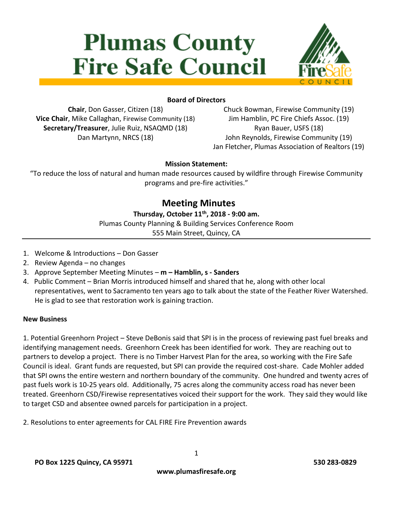# **Plumas County Fire Safe Council**



## **Board of Directors**

**Chair**, Don Gasser, Citizen (18) **Vice Chair**, Mike Callaghan, Firewise Community (18) **Secretary/Treasurer**, Julie Ruiz, NSAQMD (18) Dan Martynn, NRCS (18)

Chuck Bowman, Firewise Community (19) Jim Hamblin, PC Fire Chiefs Assoc. (19) Ryan Bauer, USFS (18) John Reynolds, Firewise Community (19) Jan Fletcher, Plumas Association of Realtors (19)

#### **Mission Statement:**

"To reduce the loss of natural and human made resources caused by wildfire through Firewise Community programs and pre-fire activities."

# **Meeting Minutes**

#### **Thursday, October 11th, 2018 - 9:00 am.**

Plumas County Planning & Building Services Conference Room 555 Main Street, Quincy, CA

- 1. Welcome & Introductions Don Gasser
- 2. Review Agenda no changes
- 3. Approve September Meeting Minutes **m – Hamblin, s - Sanders**
- 4. Public Comment Brian Morris introduced himself and shared that he, along with other local representatives, went to Sacramento ten years ago to talk about the state of the Feather River Watershed. He is glad to see that restoration work is gaining traction.

#### **New Business**

1. Potential Greenhorn Project – Steve DeBonis said that SPI is in the process of reviewing past fuel breaks and identifying management needs. Greenhorn Creek has been identified for work. They are reaching out to partners to develop a project. There is no Timber Harvest Plan for the area, so working with the Fire Safe Council is ideal. Grant funds are requested, but SPI can provide the required cost-share. Cade Mohler added that SPI owns the entire western and northern boundary of the community. One hundred and twenty acres of past fuels work is 10-25 years old. Additionally, 75 acres along the community access road has never been treated. Greenhorn CSD/Firewise representatives voiced their support for the work. They said they would like to target CSD and absentee owned parcels for participation in a project.

2. Resolutions to enter agreements for CAL FIRE Fire Prevention awards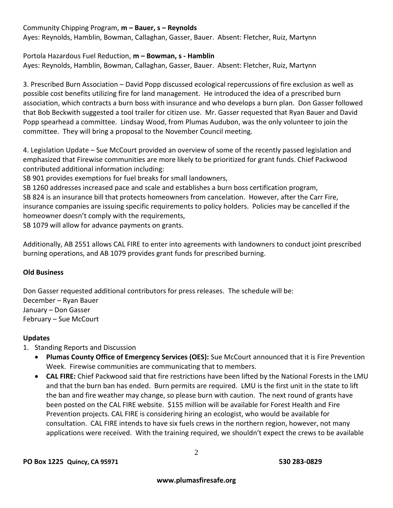### Community Chipping Program, **m – Bauer, s – Reynolds**

Ayes: Reynolds, Hamblin, Bowman, Callaghan, Gasser, Bauer. Absent: Fletcher, Ruiz, Martynn

#### Portola Hazardous Fuel Reduction, **m – Bowman, s - Hamblin**

Ayes: Reynolds, Hamblin, Bowman, Callaghan, Gasser, Bauer. Absent: Fletcher, Ruiz, Martynn

3. Prescribed Burn Association – David Popp discussed ecological repercussions of fire exclusion as well as possible cost benefits utilizing fire for land management. He introduced the idea of a prescribed burn association, which contracts a burn boss with insurance and who develops a burn plan. Don Gasser followed that Bob Beckwith suggested a tool trailer for citizen use. Mr. Gasser requested that Ryan Bauer and David Popp spearhead a committee. Lindsay Wood, from Plumas Audubon, was the only volunteer to join the committee. They will bring a proposal to the November Council meeting.

4. Legislation Update – Sue McCourt provided an overview of some of the recently passed legislation and emphasized that Firewise communities are more likely to be prioritized for grant funds. Chief Packwood contributed additional information including:

SB 901 provides exemptions for fuel breaks for small landowners,

SB 1260 addresses increased pace and scale and establishes a burn boss certification program,

SB 824 is an insurance bill that protects homeowners from cancelation. However, after the Carr Fire, insurance companies are issuing specific requirements to policy holders. Policies may be cancelled if the homeowner doesn't comply with the requirements,

SB 1079 will allow for advance payments on grants.

Additionally, AB 2551 allows CAL FIRE to enter into agreements with landowners to conduct joint prescribed burning operations, and AB 1079 provides grant funds for prescribed burning.

#### **Old Business**

Don Gasser requested additional contributors for press releases. The schedule will be: December – Ryan Bauer January – Don Gasser February – Sue McCourt

#### **Updates**

1. Standing Reports and Discussion

- **Plumas County Office of Emergency Services (OES):** Sue McCourt announced that it is Fire Prevention Week. Firewise communities are communicating that to members.
- **CAL FIRE:** Chief Packwood said that fire restrictions have been lifted by the National Forests in the LMU and that the burn ban has ended. Burn permits are required. LMU is the first unit in the state to lift the ban and fire weather may change, so please burn with caution. The next round of grants have been posted on the CAL FIRE website. \$155 million will be available for Forest Health and Fire Prevention projects. CAL FIRE is considering hiring an ecologist, who would be available for consultation. CAL FIRE intends to have six fuels crews in the northern region, however, not many applications were received. With the training required, we shouldn't expect the crews to be available

2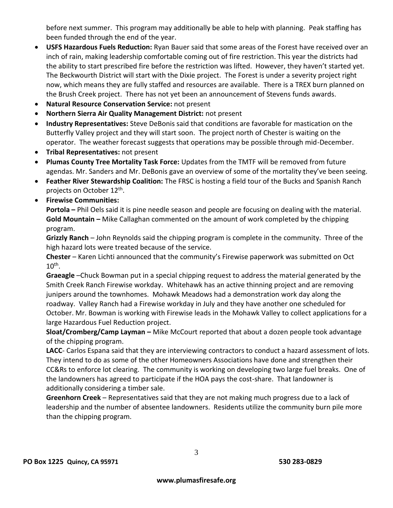before next summer. This program may additionally be able to help with planning. Peak staffing has been funded through the end of the year.

- **USFS Hazardous Fuels Reduction:** Ryan Bauer said that some areas of the Forest have received over an inch of rain, making leadership comfortable coming out of fire restriction. This year the districts had the ability to start prescribed fire before the restriction was lifted. However, they haven't started yet. The Beckwourth District will start with the Dixie project. The Forest is under a severity project right now, which means they are fully staffed and resources are available. There is a TREX burn planned on the Brush Creek project. There has not yet been an announcement of Stevens funds awards.
- **Natural Resource Conservation Service:** not present
- **Northern Sierra Air Quality Management District:** not present
- **Industry Representatives:** Steve DeBonis said that conditions are favorable for mastication on the Butterfly Valley project and they will start soon. The project north of Chester is waiting on the operator. The weather forecast suggests that operations may be possible through mid-December.
- **Tribal Representatives:** not present
- **Plumas County Tree Mortality Task Force:** Updates from the TMTF will be removed from future agendas. Mr. Sanders and Mr. DeBonis gave an overview of some of the mortality they've been seeing.
- **Feather River Stewardship Coalition:** The FRSC is hosting a field tour of the Bucks and Spanish Ranch projects on October 12<sup>th</sup>.
- **Firewise Communities:**

**Portola –** Phil Oels said it is pine needle season and people are focusing on dealing with the material. **Gold Mountain –** Mike Callaghan commented on the amount of work completed by the chipping program.

**Grizzly Ranch** – John Reynolds said the chipping program is complete in the community. Three of the high hazard lots were treated because of the service.

**Chester** – Karen Lichti announced that the community's Firewise paperwork was submitted on Oct  $10^{\text{th}}$ .

**Graeagle** –Chuck Bowman put in a special chipping request to address the material generated by the Smith Creek Ranch Firewise workday. Whitehawk has an active thinning project and are removing junipers around the townhomes. Mohawk Meadows had a demonstration work day along the roadway. Valley Ranch had a Firewise workday in July and they have another one scheduled for October. Mr. Bowman is working with Firewise leads in the Mohawk Valley to collect applications for a large Hazardous Fuel Reduction project.

**Sloat/Cromberg/Camp Layman –** Mike McCourt reported that about a dozen people took advantage of the chipping program.

**LACC**- Carlos Espana said that they are interviewing contractors to conduct a hazard assessment of lots. They intend to do as some of the other Homeowners Associations have done and strengthen their CC&Rs to enforce lot clearing. The community is working on developing two large fuel breaks. One of the landowners has agreed to participate if the HOA pays the cost-share. That landowner is additionally considering a timber sale.

**Greenhorn Creek** – Representatives said that they are not making much progress due to a lack of leadership and the number of absentee landowners. Residents utilize the community burn pile more than the chipping program.

3